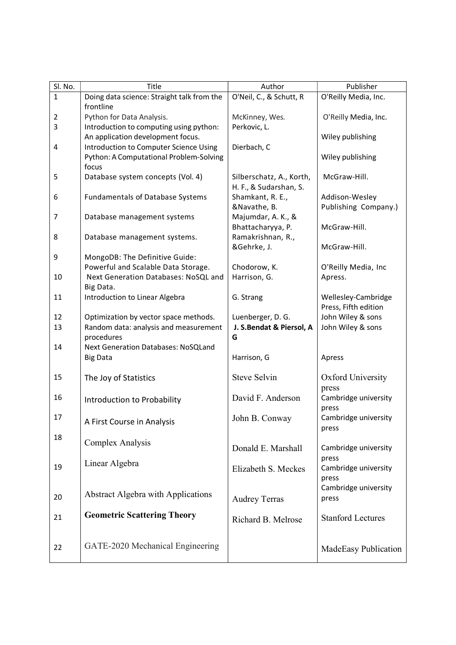| Sl. No.        | Title                                      | Author                   | Publisher                |
|----------------|--------------------------------------------|--------------------------|--------------------------|
| $\mathbf{1}$   | Doing data science: Straight talk from the | O'Neil, C., & Schutt, R  | O'Reilly Media, Inc.     |
|                | frontline                                  |                          |                          |
| $\overline{2}$ | Python for Data Analysis.                  | McKinney, Wes.           | O'Reilly Media, Inc.     |
| 3              | Introduction to computing using python:    | Perkovic, L.             |                          |
|                | An application development focus.          |                          | Wiley publishing         |
| 4              | Introduction to Computer Science Using     | Dierbach, C              |                          |
|                | Python: A Computational Problem-Solving    |                          | Wiley publishing         |
|                | focus                                      |                          |                          |
| 5              | Database system concepts (Vol. 4)          | Silberschatz, A., Korth, | McGraw-Hill.             |
|                |                                            | H. F., & Sudarshan, S.   |                          |
| 6              | <b>Fundamentals of Database Systems</b>    | Shamkant, R. E.,         | Addison-Wesley           |
|                |                                            | &Navathe, B.             | Publishing Company.)     |
| 7              | Database management systems                | Majumdar, A. K., &       |                          |
|                |                                            | Bhattacharyya, P.        | McGraw-Hill.             |
| 8              | Database management systems.               | Ramakrishnan, R.,        |                          |
|                |                                            | &Gehrke, J.              | McGraw-Hill.             |
| 9              | MongoDB: The Definitive Guide:             |                          |                          |
|                | Powerful and Scalable Data Storage.        | Chodorow, K.             | O'Reilly Media, Inc      |
| 10             | Next Generation Databases: NoSQL and       | Harrison, G.             | Apress.                  |
|                | Big Data.                                  |                          |                          |
| 11             | Introduction to Linear Algebra             | G. Strang                | Wellesley-Cambridge      |
|                |                                            |                          | Press, Fifth edition     |
| 12             | Optimization by vector space methods.      | Luenberger, D. G.        | John Wiley & sons        |
| 13             | Random data: analysis and measurement      | J. S.Bendat & Piersol, A | John Wiley & sons        |
|                | procedures                                 | G                        |                          |
| 14             | <b>Next Generation Databases: NoSQLand</b> |                          |                          |
|                | <b>Big Data</b>                            | Harrison, G              | Apress                   |
|                |                                            |                          |                          |
| 15             | The Joy of Statistics                      | <b>Steve Selvin</b>      | Oxford University        |
|                |                                            |                          | press                    |
| 16             | Introduction to Probability                | David F. Anderson        | Cambridge university     |
|                |                                            |                          | press                    |
| 17             |                                            | John B. Conway           | Cambridge university     |
|                | A First Course in Analysis                 |                          | press                    |
| 18             |                                            |                          |                          |
|                | Complex Analysis                           | Donald E. Marshall       | Cambridge university     |
|                |                                            |                          | press                    |
| 19             | Linear Algebra                             | Elizabeth S. Meckes      | Cambridge university     |
|                |                                            |                          | press                    |
|                |                                            |                          | Cambridge university     |
| 20             | <b>Abstract Algebra with Applications</b>  | <b>Audrey Terras</b>     | press                    |
|                |                                            |                          |                          |
| 21             | <b>Geometric Scattering Theory</b>         | Richard B. Melrose       | <b>Stanford Lectures</b> |
|                |                                            |                          |                          |
|                |                                            |                          |                          |
| 22             | GATE-2020 Mechanical Engineering           |                          | MadeEasy Publication     |
|                |                                            |                          |                          |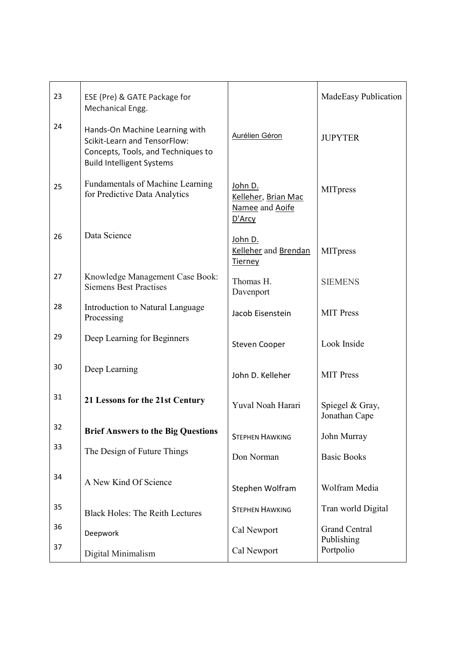| 23 | ESE (Pre) & GATE Package for<br>Mechanical Engg.                                                                                         |                                                             | MadeEasy Publication             |
|----|------------------------------------------------------------------------------------------------------------------------------------------|-------------------------------------------------------------|----------------------------------|
| 24 | Hands-On Machine Learning with<br>Scikit-Learn and TensorFlow:<br>Concepts, Tools, and Techniques to<br><b>Build Intelligent Systems</b> | Aurélien Géron                                              | <b>JUPYTER</b>                   |
| 25 | <b>Fundamentals of Machine Learning</b><br>for Predictive Data Analytics                                                                 | John D.<br>Kelleher, Brian Mac<br>Namee and Aoife<br>D'Arcy | <b>MITpress</b>                  |
| 26 | Data Science                                                                                                                             | John D.<br>Kelleher and Brendan<br>Tierney                  | <b>MITpress</b>                  |
| 27 | Knowledge Management Case Book:<br><b>Siemens Best Practises</b>                                                                         | Thomas H.<br>Davenport                                      | <b>SIEMENS</b>                   |
| 28 | Introduction to Natural Language<br>Processing                                                                                           | Jacob Eisenstein                                            | <b>MIT Press</b>                 |
| 29 | Deep Learning for Beginners                                                                                                              | <b>Steven Cooper</b>                                        | Look Inside                      |
| 30 | Deep Learning                                                                                                                            | John D. Kelleher                                            | <b>MIT</b> Press                 |
| 31 | 21 Lessons for the 21st Century                                                                                                          | Yuval Noah Harari                                           | Spiegel & Gray,<br>Jonathan Cape |
| 32 | <b>Brief Answers to the Big Questions</b>                                                                                                | <b>STEPHEN HAWKING</b>                                      | John Murray                      |
| 33 | The Design of Future Things                                                                                                              | Don Norman                                                  | <b>Basic Books</b>               |
| 34 | A New Kind Of Science                                                                                                                    | Stephen Wolfram                                             | Wolfram Media                    |
| 35 | <b>Black Holes: The Reith Lectures</b>                                                                                                   | <b>STEPHEN HAWKING</b>                                      | Tran world Digital               |
| 36 | Deepwork                                                                                                                                 | Cal Newport                                                 | <b>Grand Central</b>             |
| 37 | Digital Minimalism                                                                                                                       | Cal Newport                                                 | Publishing<br>Portpolio          |